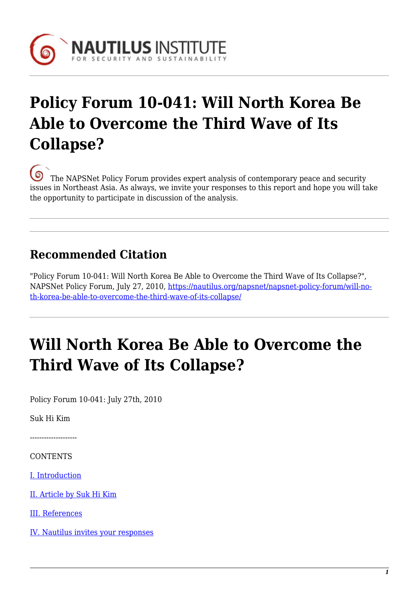

# **Policy Forum 10-041: Will North Korea Be Able to Overcome the Third Wave of Its Collapse?**

[T](https://nautilus.org/wp-content/uploads/2013/05/nautilus-logo-small.png)he NAPSNet Policy Forum provides expert analysis of contemporary peace and security issues in Northeast Asia. As always, we invite your responses to this report and hope you will take the opportunity to participate in discussion of the analysis.

# **Recommended Citation**

"Policy Forum 10-041: Will North Korea Be Able to Overcome the Third Wave of Its Collapse?", NAPSNet Policy Forum, July 27, 2010, [https://nautilus.org/napsnet/napsnet-policy-forum/will-no](https://nautilus.org/napsnet/napsnet-policy-forum/will-north-korea-be-able-to-overcome-the-third-wave-of-its-collapse/)[th-korea-be-able-to-overcome-the-third-wave-of-its-collapse/](https://nautilus.org/napsnet/napsnet-policy-forum/will-north-korea-be-able-to-overcome-the-third-wave-of-its-collapse/)

# **Will North Korea Be Able to Overcome the Third Wave of Its Collapse?**

Policy Forum 10-041: July 27th, 2010

Suk Hi Kim

--------------------

**CONTENTS** 

[I. Introduction](#page-0-0)

[II. Article by Suk Hi Kim](#page-1-0)

[III. References](#page-10-0)

<span id="page-0-0"></span>[IV. Nautilus invites your responses](#page-11-0)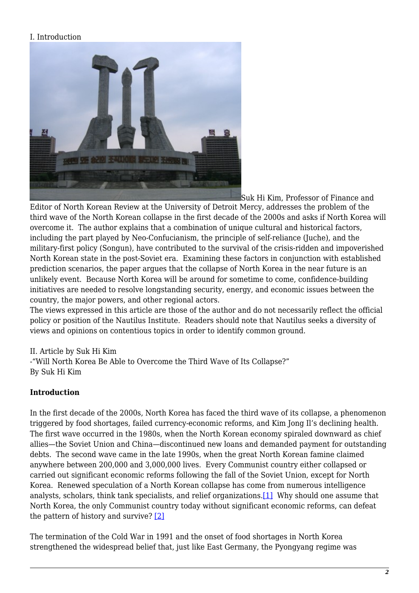#### I. Introduction



Suk Hi Kim, Professor of Finance and

Editor of North Korean Review at the University of Detroit Mercy, addresses the problem of the third wave of the North Korean collapse in the first decade of the 2000s and asks if North Korea will overcome it. The author explains that a combination of unique cultural and historical factors, including the part played by Neo-Confucianism, the principle of self-reliance (Juche), and the military-first policy (Songun), have contributed to the survival of the crisis-ridden and impoverished North Korean state in the post-Soviet era. Examining these factors in conjunction with established prediction scenarios, the paper argues that the collapse of North Korea in the near future is an unlikely event. Because North Korea will be around for sometime to come, confidence-building initiatives are needed to resolve longstanding security, energy, and economic issues between the country, the major powers, and other regional actors.

The views expressed in this article are those of the author and do not necessarily reflect the official policy or position of the Nautilus Institute. Readers should note that Nautilus seeks a diversity of views and opinions on contentious topics in order to identify common ground.

<span id="page-1-0"></span>II. Article by Suk Hi Kim

-"Will North Korea Be Able to Overcome the Third Wave of Its Collapse?" By Suk Hi Kim

#### **Introduction**

In the first decade of the 2000s, North Korea has faced the third wave of its collapse, a phenomenon triggered by food shortages, failed currency-economic reforms, and Kim Jong Il's declining health. The first wave occurred in the 1980s, when the North Korean economy spiraled downward as chief allies—the Soviet Union and China—discontinued new loans and demanded payment for outstanding debts. The second wave came in the late 1990s, when the great North Korean famine claimed anywhere between 200,000 and 3,000,000 lives. Every Communist country either collapsed or carried out significant economic reforms following the fall of the Soviet Union, except for North Korea. Renewed speculation of a North Korean collapse has come from numerous intelligence analysts, scholars, think tank specialists, and relief organizations.[\[1\]](#page-10-1) Why should one assume that North Korea, the only Communist country today without significant economic reforms, can defeat the pattern of history and survive? [\[2\]](#page-10-2)

The termination of the Cold War in 1991 and the onset of food shortages in North Korea strengthened the widespread belief that, just like East Germany, the Pyongyang regime was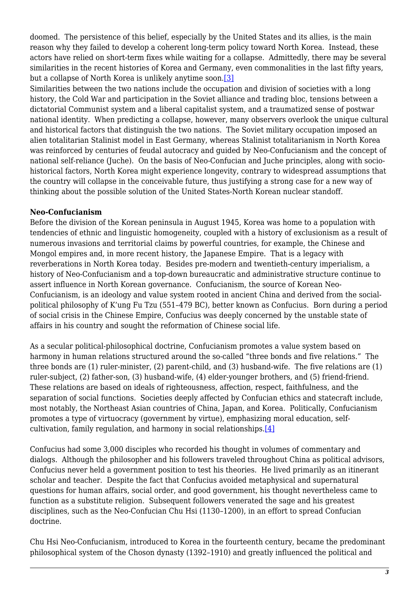doomed. The persistence of this belief, especially by the United States and its allies, is the main reason why they failed to develop a coherent long-term policy toward North Korea. Instead, these actors have relied on short-term fixes while waiting for a collapse. Admittedly, there may be several similarities in the recent histories of Korea and Germany, even commonalities in the last fifty years, but a collapse of North Korea is unlikely anytime soon[.\[3\]](#page-10-3)

Similarities between the two nations include the occupation and division of societies with a long history, the Cold War and participation in the Soviet alliance and trading bloc, tensions between a dictatorial Communist system and a liberal capitalist system, and a traumatized sense of postwar national identity. When predicting a collapse, however, many observers overlook the unique cultural and historical factors that distinguish the two nations. The Soviet military occupation imposed an alien totalitarian Stalinist model in East Germany, whereas Stalinist totalitarianism in North Korea was reinforced by centuries of feudal autocracy and guided by Neo-Confucianism and the concept of national self-reliance (Juche). On the basis of Neo-Confucian and Juche principles, along with sociohistorical factors, North Korea might experience longevity, contrary to widespread assumptions that the country will collapse in the conceivable future, thus justifying a strong case for a new way of thinking about the possible solution of the United States-North Korean nuclear standoff.

### **Neo-Confucianism**

Before the division of the Korean peninsula in August 1945, Korea was home to a population with tendencies of ethnic and linguistic homogeneity, coupled with a history of exclusionism as a result of numerous invasions and territorial claims by powerful countries, for example, the Chinese and Mongol empires and, in more recent history, the Japanese Empire. That is a legacy with reverberations in North Korea today. Besides pre-modern and twentieth-century imperialism, a history of Neo-Confucianism and a top-down bureaucratic and administrative structure continue to assert influence in North Korean governance. Confucianism, the source of Korean Neo-Confucianism, is an ideology and value system rooted in ancient China and derived from the socialpolitical philosophy of K'ung Fu Tzu (551–479 BC), better known as Confucius. Born during a period of social crisis in the Chinese Empire, Confucius was deeply concerned by the unstable state of affairs in his country and sought the reformation of Chinese social life.

As a secular political-philosophical doctrine, Confucianism promotes a value system based on harmony in human relations structured around the so-called "three bonds and five relations." The three bonds are (1) ruler-minister, (2) parent-child, and (3) husband-wife. The five relations are (1) ruler-subject, (2) father-son, (3) husband-wife, (4) elder-younger brothers, and (5) friend-friend. These relations are based on ideals of righteousness, affection, respect, faithfulness, and the separation of social functions. Societies deeply affected by Confucian ethics and statecraft include, most notably, the Northeast Asian countries of China, Japan, and Korea. Politically, Confucianism promotes a type of virtuocracy (government by virtue), emphasizing moral education, selfcultivation, family regulation, and harmony in social relationships[.\[4\]](#page-10-4)

Confucius had some 3,000 disciples who recorded his thought in volumes of commentary and dialogs. Although the philosopher and his followers traveled throughout China as political advisors, Confucius never held a government position to test his theories. He lived primarily as an itinerant scholar and teacher. Despite the fact that Confucius avoided metaphysical and supernatural questions for human affairs, social order, and good government, his thought nevertheless came to function as a substitute religion. Subsequent followers venerated the sage and his greatest disciplines, such as the Neo-Confucian Chu Hsi (1130–1200), in an effort to spread Confucian doctrine.

Chu Hsi Neo-Confucianism, introduced to Korea in the fourteenth century, became the predominant philosophical system of the Choson dynasty (1392–1910) and greatly influenced the political and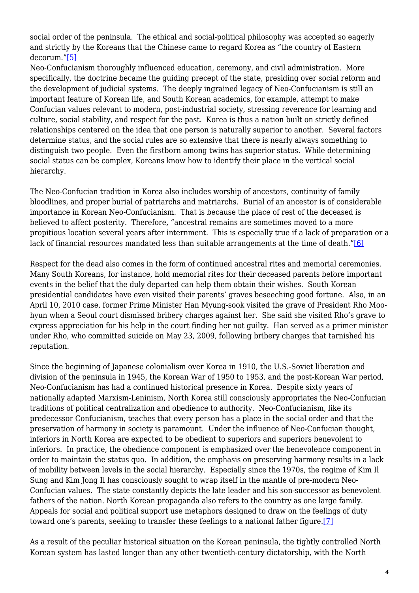social order of the peninsula. The ethical and social-political philosophy was accepted so eagerly and strictly by the Koreans that the Chinese came to regard Korea as "the country of Eastern decorum."[\[5\]](#page-10-5)

Neo-Confucianism thoroughly influenced education, ceremony, and civil administration. More specifically, the doctrine became the guiding precept of the state, presiding over social reform and the development of judicial systems. The deeply ingrained legacy of Neo-Confucianism is still an important feature of Korean life, and South Korean academics, for example, attempt to make Confucian values relevant to modern, post-industrial society, stressing reverence for learning and culture, social stability, and respect for the past. Korea is thus a nation built on strictly defined relationships centered on the idea that one person is naturally superior to another. Several factors determine status, and the social rules are so extensive that there is nearly always something to distinguish two people. Even the firstborn among twins has superior status. While determining social status can be complex, Koreans know how to identify their place in the vertical social hierarchy.

The Neo-Confucian tradition in Korea also includes worship of ancestors, continuity of family bloodlines, and proper burial of patriarchs and matriarchs. Burial of an ancestor is of considerable importance in Korean Neo-Confucianism. That is because the place of rest of the deceased is believed to affect posterity. Therefore, "ancestral remains are sometimes moved to a more propitious location several years after internment. This is especially true if a lack of preparation or a lack of financial resources mandated less than suitable arrangements at the time of death."[\[6\]](#page-10-6)

Respect for the dead also comes in the form of continued ancestral rites and memorial ceremonies. Many South Koreans, for instance, hold memorial rites for their deceased parents before important events in the belief that the duly departed can help them obtain their wishes. South Korean presidential candidates have even visited their parents' graves beseeching good fortune. Also, in an April 10, 2010 case, former Prime Minister Han Myung-sook visited the grave of President Rho Moohyun when a Seoul court dismissed bribery charges against her. She said she visited Rho's grave to express appreciation for his help in the court finding her not guilty. Han served as a primer minister under Rho, who committed suicide on May 23, 2009, following bribery charges that tarnished his reputation.

Since the beginning of Japanese colonialism over Korea in 1910, the U.S.-Soviet liberation and division of the peninsula in 1945, the Korean War of 1950 to 1953, and the post-Korean War period, Neo-Confucianism has had a continued historical presence in Korea. Despite sixty years of nationally adapted Marxism-Leninism, North Korea still consciously appropriates the Neo-Confucian traditions of political centralization and obedience to authority. Neo-Confucianism, like its predecessor Confucianism, teaches that every person has a place in the social order and that the preservation of harmony in society is paramount. Under the influence of Neo-Confucian thought, inferiors in North Korea are expected to be obedient to superiors and superiors benevolent to inferiors. In practice, the obedience component is emphasized over the benevolence component in order to maintain the status quo. In addition, the emphasis on preserving harmony results in a lack of mobility between levels in the social hierarchy. Especially since the 1970s, the regime of Kim Il Sung and Kim Jong Il has consciously sought to wrap itself in the mantle of pre-modern Neo-Confucian values. The state constantly depicts the late leader and his son-successor as benevolent fathers of the nation. North Korean propaganda also refers to the country as one large family. Appeals for social and political support use metaphors designed to draw on the feelings of duty toward one's parents, seeking to transfer these feelings to a national father figure[.\[7\]](#page-10-7)

As a result of the peculiar historical situation on the Korean peninsula, the tightly controlled North Korean system has lasted longer than any other twentieth-century dictatorship, with the North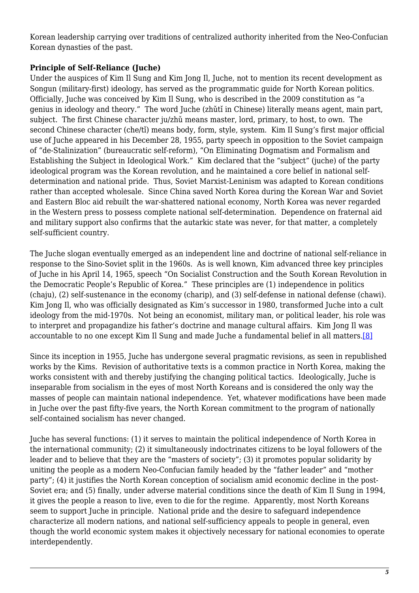Korean leadership carrying over traditions of centralized authority inherited from the Neo-Confucian Korean dynasties of the past.

### **Principle of Self-Reliance (Juche)**

Under the auspices of Kim Il Sung and Kim Jong Il, Juche, not to mention its recent development as Songun (military-first) ideology, has served as the programmatic guide for North Korean politics. Officially, Juche was conceived by Kim Il Sung, who is described in the 2009 constitution as "a genius in ideology and theory." The word Juche (zhǔtǐ in Chinese) literally means agent, main part, subject. The first Chinese character ju/zhǔ means master, lord, primary, to host, to own. The second Chinese character (che/tǐ) means body, form, style, system. Kim Il Sung's first major official use of Juche appeared in his December 28, 1955, party speech in opposition to the Soviet campaign of "de-Stalinization" (bureaucratic self-reform), "On Eliminating Dogmatism and Formalism and Establishing the Subject in Ideological Work." Kim declared that the "subject" (juche) of the party ideological program was the Korean revolution, and he maintained a core belief in national selfdetermination and national pride. Thus, Soviet Marxist-Leninism was adapted to Korean conditions rather than accepted wholesale. Since China saved North Korea during the Korean War and Soviet and Eastern Bloc aid rebuilt the war-shattered national economy, North Korea was never regarded in the Western press to possess complete national self-determination. Dependence on fraternal aid and military support also confirms that the autarkic state was never, for that matter, a completely self-sufficient country.

The Juche slogan eventually emerged as an independent line and doctrine of national self-reliance in response to the Sino-Soviet split in the 1960s. As is well known, Kim advanced three key principles of Juche in his April 14, 1965, speech "On Socialist Construction and the South Korean Revolution in the Democratic People's Republic of Korea." These principles are (1) independence in politics (chaju), (2) self-sustenance in the economy (charip), and (3) self-defense in national defense (chawi). Kim Jong Il, who was officially designated as Kim's successor in 1980, transformed Juche into a cult ideology from the mid-1970s. Not being an economist, military man, or political leader, his role was to interpret and propagandize his father's doctrine and manage cultural affairs. Kim Jong Il was accountable to no one except Kim Il Sung and made Juche a fundamental belief in all matters.<sup>[\[8\]](#page-10-8)</sup>

Since its inception in 1955, Juche has undergone several pragmatic revisions, as seen in republished works by the Kims. Revision of authoritative texts is a common practice in North Korea, making the works consistent with and thereby justifying the changing political tactics. Ideologically, Juche is inseparable from socialism in the eyes of most North Koreans and is considered the only way the masses of people can maintain national independence. Yet, whatever modifications have been made in Juche over the past fifty-five years, the North Korean commitment to the program of nationally self-contained socialism has never changed.

Juche has several functions: (1) it serves to maintain the political independence of North Korea in the international community; (2) it simultaneously indoctrinates citizens to be loyal followers of the leader and to believe that they are the "masters of society"; (3) it promotes popular solidarity by uniting the people as a modern Neo-Confucian family headed by the "father leader" and "mother party"; (4) it justifies the North Korean conception of socialism amid economic decline in the post-Soviet era; and (5) finally, under adverse material conditions since the death of Kim Il Sung in 1994, it gives the people a reason to live, even to die for the regime. Apparently, most North Koreans seem to support Juche in principle. National pride and the desire to safeguard independence characterize all modern nations, and national self-sufficiency appeals to people in general, even though the world economic system makes it objectively necessary for national economies to operate interdependently.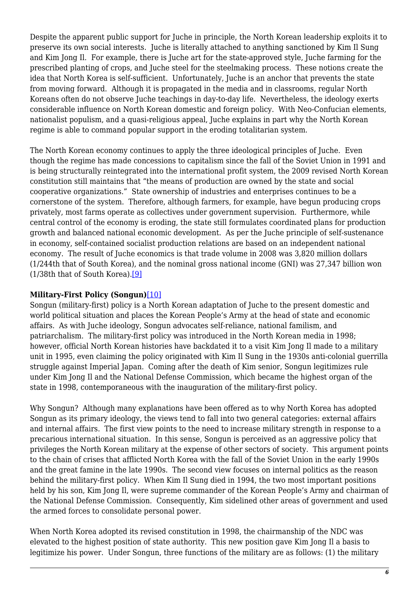Despite the apparent public support for Juche in principle, the North Korean leadership exploits it to preserve its own social interests. Juche is literally attached to anything sanctioned by Kim Il Sung and Kim Jong Il. For example, there is Juche art for the state-approved style, Juche farming for the prescribed planting of crops, and Juche steel for the steelmaking process. These notions create the idea that North Korea is self-sufficient. Unfortunately, Juche is an anchor that prevents the state from moving forward. Although it is propagated in the media and in classrooms, regular North Koreans often do not observe Juche teachings in day-to-day life. Nevertheless, the ideology exerts considerable influence on North Korean domestic and foreign policy. With Neo-Confucian elements, nationalist populism, and a quasi-religious appeal, Juche explains in part why the North Korean regime is able to command popular support in the eroding totalitarian system.

The North Korean economy continues to apply the three ideological principles of Juche. Even though the regime has made concessions to capitalism since the fall of the Soviet Union in 1991 and is being structurally reintegrated into the international profit system, the 2009 revised North Korean constitution still maintains that "the means of production are owned by the state and social cooperative organizations." State ownership of industries and enterprises continues to be a cornerstone of the system. Therefore, although farmers, for example, have begun producing crops privately, most farms operate as collectives under government supervision. Furthermore, while central control of the economy is eroding, the state still formulates coordinated plans for production growth and balanced national economic development. As per the Juche principle of self-sustenance in economy, self-contained socialist production relations are based on an independent national economy. The result of Juche economics is that trade volume in 2008 was 3,820 million dollars (1/244th that of South Korea), and the nominal gross national income (GNI) was 27,347 billion won (1/38th that of South Korea).[\[9\]](#page-10-9)

#### **Military-First Policy (Songun)**[\[10\]](#page-10-10)

Songun (military-first) policy is a North Korean adaptation of Juche to the present domestic and world political situation and places the Korean People's Army at the head of state and economic affairs. As with Juche ideology, Songun advocates self-reliance, national familism, and patriarchalism. The military-first policy was introduced in the North Korean media in 1998; however, official North Korean histories have backdated it to a visit Kim Jong Il made to a military unit in 1995, even claiming the policy originated with Kim Il Sung in the 1930s anti-colonial guerrilla struggle against Imperial Japan. Coming after the death of Kim senior, Songun legitimizes rule under Kim Jong Il and the National Defense Commission, which became the highest organ of the state in 1998, contemporaneous with the inauguration of the military-first policy.

Why Songun? Although many explanations have been offered as to why North Korea has adopted Songun as its primary ideology, the views tend to fall into two general categories: external affairs and internal affairs. The first view points to the need to increase military strength in response to a precarious international situation. In this sense, Songun is perceived as an aggressive policy that privileges the North Korean military at the expense of other sectors of society. This argument points to the chain of crises that afflicted North Korea with the fall of the Soviet Union in the early 1990s and the great famine in the late 1990s. The second view focuses on internal politics as the reason behind the military-first policy. When Kim Il Sung died in 1994, the two most important positions held by his son, Kim Jong Il, were supreme commander of the Korean People's Army and chairman of the National Defense Commission. Consequently, Kim sidelined other areas of government and used the armed forces to consolidate personal power.

When North Korea adopted its revised constitution in 1998, the chairmanship of the NDC was elevated to the highest position of state authority. This new position gave Kim Jong Il a basis to legitimize his power. Under Songun, three functions of the military are as follows: (1) the military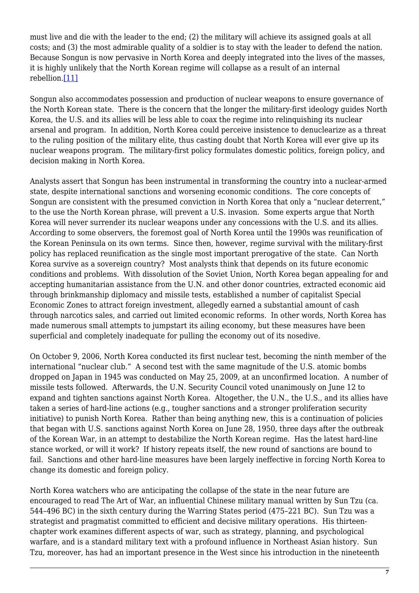must live and die with the leader to the end; (2) the military will achieve its assigned goals at all costs; and (3) the most admirable quality of a soldier is to stay with the leader to defend the nation. Because Songun is now pervasive in North Korea and deeply integrated into the lives of the masses, it is highly unlikely that the North Korean regime will collapse as a result of an internal rebellion[.\[11\]](#page-10-11)

Songun also accommodates possession and production of nuclear weapons to ensure governance of the North Korean state. There is the concern that the longer the military-first ideology guides North Korea, the U.S. and its allies will be less able to coax the regime into relinquishing its nuclear arsenal and program. In addition, North Korea could perceive insistence to denuclearize as a threat to the ruling position of the military elite, thus casting doubt that North Korea will ever give up its nuclear weapons program. The military-first policy formulates domestic politics, foreign policy, and decision making in North Korea.

Analysts assert that Songun has been instrumental in transforming the country into a nuclear-armed state, despite international sanctions and worsening economic conditions. The core concepts of Songun are consistent with the presumed conviction in North Korea that only a "nuclear deterrent," to the use the North Korean phrase, will prevent a U.S. invasion. Some experts argue that North Korea will never surrender its nuclear weapons under any concessions with the U.S. and its allies. According to some observers, the foremost goal of North Korea until the 1990s was reunification of the Korean Peninsula on its own terms. Since then, however, regime survival with the military-first policy has replaced reunification as the single most important prerogative of the state. Can North Korea survive as a sovereign country? Most analysts think that depends on its future economic conditions and problems. With dissolution of the Soviet Union, North Korea began appealing for and accepting humanitarian assistance from the U.N. and other donor countries, extracted economic aid through brinkmanship diplomacy and missile tests, established a number of capitalist Special Economic Zones to attract foreign investment, allegedly earned a substantial amount of cash through narcotics sales, and carried out limited economic reforms. In other words, North Korea has made numerous small attempts to jumpstart its ailing economy, but these measures have been superficial and completely inadequate for pulling the economy out of its nosedive.

On October 9, 2006, North Korea conducted its first nuclear test, becoming the ninth member of the international "nuclear club." A second test with the same magnitude of the U.S. atomic bombs dropped on Japan in 1945 was conducted on May 25, 2009, at an unconfirmed location. A number of missile tests followed. Afterwards, the U.N. Security Council voted unanimously on June 12 to expand and tighten sanctions against North Korea. Altogether, the U.N., the U.S., and its allies have taken a series of hard-line actions (e.g., tougher sanctions and a stronger proliferation security initiative) to punish North Korea. Rather than being anything new, this is a continuation of policies that began with U.S. sanctions against North Korea on June 28, 1950, three days after the outbreak of the Korean War, in an attempt to destabilize the North Korean regime. Has the latest hard-line stance worked, or will it work? If history repeats itself, the new round of sanctions are bound to fail. Sanctions and other hard-line measures have been largely ineffective in forcing North Korea to change its domestic and foreign policy.

North Korea watchers who are anticipating the collapse of the state in the near future are encouraged to read The Art of War, an influential Chinese military manual written by Sun Tzu (ca. 544–496 BC) in the sixth century during the Warring States period (475–221 BC). Sun Tzu was a strategist and pragmatist committed to efficient and decisive military operations. His thirteenchapter work examines different aspects of war, such as strategy, planning, and psychological warfare, and is a standard military text with a profound influence in Northeast Asian history. Sun Tzu, moreover, has had an important presence in the West since his introduction in the nineteenth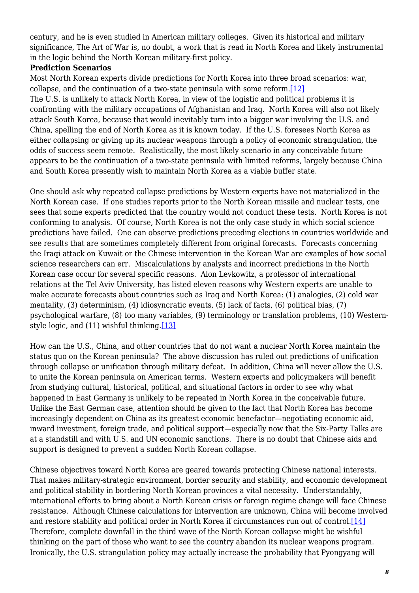century, and he is even studied in American military colleges. Given its historical and military significance, The Art of War is, no doubt, a work that is read in North Korea and likely instrumental in the logic behind the North Korean military-first policy.

### **Prediction Scenarios**

Most North Korean experts divide predictions for North Korea into three broad scenarios: war, collapse, and the continuation of a two-state peninsula with some reform[.\[12\]](#page-10-12) The U.S. is unlikely to attack North Korea, in view of the logistic and political problems it is confronting with the military occupations of Afghanistan and Iraq. North Korea will also not likely attack South Korea, because that would inevitably turn into a bigger war involving the U.S. and China, spelling the end of North Korea as it is known today. If the U.S. foresees North Korea as either collapsing or giving up its nuclear weapons through a policy of economic strangulation, the odds of success seem remote. Realistically, the most likely scenario in any conceivable future appears to be the continuation of a two-state peninsula with limited reforms, largely because China and South Korea presently wish to maintain North Korea as a viable buffer state.

One should ask why repeated collapse predictions by Western experts have not materialized in the North Korean case. If one studies reports prior to the North Korean missile and nuclear tests, one sees that some experts predicted that the country would not conduct these tests. North Korea is not conforming to analysis. Of course, North Korea is not the only case study in which social science predictions have failed. One can observe predictions preceding elections in countries worldwide and see results that are sometimes completely different from original forecasts. Forecasts concerning the Iraqi attack on Kuwait or the Chinese intervention in the Korean War are examples of how social science researchers can err. Miscalculations by analysts and incorrect predictions in the North Korean case occur for several specific reasons. Alon Levkowitz, a professor of international relations at the Tel Aviv University, has listed eleven reasons why Western experts are unable to make accurate forecasts about countries such as Iraq and North Korea: (1) analogies, (2) cold war mentality, (3) determinism, (4) idiosyncratic events, (5) lack of facts, (6) political bias, (7) psychological warfare, (8) too many variables, (9) terminology or translation problems, (10) Westernstyle logic, and (11) wishful thinking[.\[13\]](#page-10-13)

How can the U.S., China, and other countries that do not want a nuclear North Korea maintain the status quo on the Korean peninsula? The above discussion has ruled out predictions of unification through collapse or unification through military defeat. In addition, China will never allow the U.S. to unite the Korean peninsula on American terms. Western experts and policymakers will benefit from studying cultural, historical, political, and situational factors in order to see why what happened in East Germany is unlikely to be repeated in North Korea in the conceivable future. Unlike the East German case, attention should be given to the fact that North Korea has become increasingly dependent on China as its greatest economic benefactor—negotiating economic aid, inward investment, foreign trade, and political support—especially now that the Six-Party Talks are at a standstill and with U.S. and UN economic sanctions. There is no doubt that Chinese aids and support is designed to prevent a sudden North Korean collapse.

Chinese objectives toward North Korea are geared towards protecting Chinese national interests. That makes military-strategic environment, border security and stability, and economic development and political stability in bordering North Korean provinces a vital necessity. Understandably, international efforts to bring about a North Korean crisis or foreign regime change will face Chinese resistance. Although Chinese calculations for intervention are unknown, China will become involved and restore stability and political order in North Korea if circumstances run out of control[.\[14\]](#page-10-14) Therefore, complete downfall in the third wave of the North Korean collapse might be wishful thinking on the part of those who want to see the country abandon its nuclear weapons program. Ironically, the U.S. strangulation policy may actually increase the probability that Pyongyang will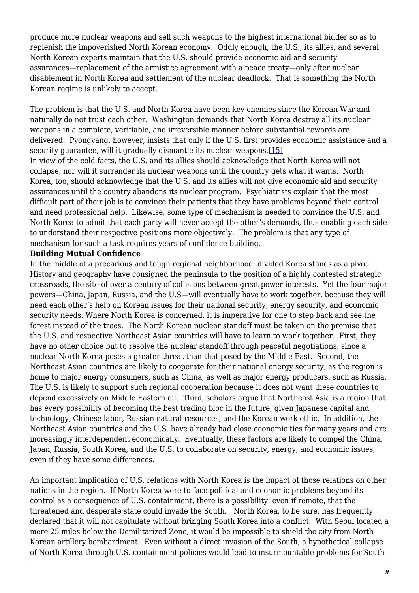produce more nuclear weapons and sell such weapons to the highest international bidder so as to replenish the impoverished North Korean economy. Oddly enough, the U.S., its allies, and several North Korean experts maintain that the U.S. should provide economic aid and security assurances—replacement of the armistice agreement with a peace treaty—only after nuclear disablement in North Korea and settlement of the nuclear deadlock. That is something the North Korean regime is unlikely to accept.

The problem is that the U.S. and North Korea have been key enemies since the Korean War and naturally do not trust each other. Washington demands that North Korea destroy all its nuclear weapons in a complete, verifiable, and irreversible manner before substantial rewards are delivered. Pyongyang, however, insists that only if the U.S. first provides economic assistance and a security guarantee, will it gradually dismantle its nuclear weapons.[\[15\]](#page-11-1)

In view of the cold facts, the U.S. and its allies should acknowledge that North Korea will not collapse, nor will it surrender its nuclear weapons until the country gets what it wants. North Korea, too, should acknowledge that the U.S. and its allies will not give economic aid and security assurances until the country abandons its nuclear program. Psychiatrists explain that the most difficult part of their job is to convince their patients that they have problems beyond their control and need professional help. Likewise, some type of mechanism is needed to convince the U.S. and North Korea to admit that each party will never accept the other's demands, thus enabling each side to understand their respective positions more objectively. The problem is that any type of mechanism for such a task requires years of confidence-building.

#### **Building Mutual Confidence**

In the middle of a precarious and tough regional neighborhood, divided Korea stands as a pivot. History and geography have consigned the peninsula to the position of a highly contested strategic crossroads, the site of over a century of collisions between great power interests. Yet the four major powers—China, Japan, Russia, and the U.S—will eventually have to work together, because they will need each other's help on Korean issues for their national security, energy security, and economic security needs. Where North Korea is concerned, it is imperative for one to step back and see the forest instead of the trees. The North Korean nuclear standoff must be taken on the premise that the U.S. and respective Northeast Asian countries will have to learn to work together. First, they have no other choice but to resolve the nuclear standoff through peaceful negotiations, since a nuclear North Korea poses a greater threat than that posed by the Middle East. Second, the Northeast Asian countries are likely to cooperate for their national energy security, as the region is home to major energy consumers, such as China, as well as major energy producers, such as Russia. The U.S. is likely to support such regional cooperation because it does not want these countries to depend excessively on Middle Eastern oil. Third, scholars argue that Northeast Asia is a region that has every possibility of becoming the best trading bloc in the future, given Japanese capital and technology, Chinese labor, Russian natural resources, and the Korean work ethic. In addition, the Northeast Asian countries and the U.S. have already had close economic ties for many years and are increasingly interdependent economically. Eventually, these factors are likely to compel the China, Japan, Russia, South Korea, and the U.S. to collaborate on security, energy, and economic issues, even if they have some differences.

An important implication of U.S. relations with North Korea is the impact of those relations on other nations in the region. If North Korea were to face political and economic problems beyond its control as a consequence of U.S. containment, there is a possibility, even if remote, that the threatened and desperate state could invade the South. North Korea, to be sure, has frequently declared that it will not capitulate without bringing South Korea into a conflict. With Seoul located a mere 25 miles below the Demilitarized Zone, it would be impossible to shield the city from North Korean artillery bombardment. Even without a direct invasion of the South, a hypothetical collapse of North Korea through U.S. containment policies would lead to insurmountable problems for South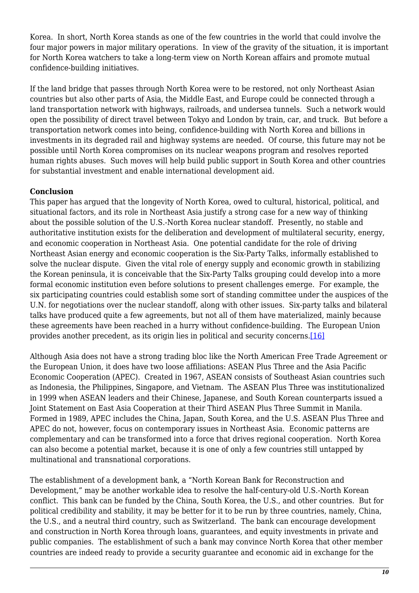Korea. In short, North Korea stands as one of the few countries in the world that could involve the four major powers in major military operations. In view of the gravity of the situation, it is important for North Korea watchers to take a long-term view on North Korean affairs and promote mutual confidence-building initiatives.

If the land bridge that passes through North Korea were to be restored, not only Northeast Asian countries but also other parts of Asia, the Middle East, and Europe could be connected through a land transportation network with highways, railroads, and undersea tunnels. Such a network would open the possibility of direct travel between Tokyo and London by train, car, and truck. But before a transportation network comes into being, confidence-building with North Korea and billions in investments in its degraded rail and highway systems are needed. Of course, this future may not be possible until North Korea compromises on its nuclear weapons program and resolves reported human rights abuses. Such moves will help build public support in South Korea and other countries for substantial investment and enable international development aid.

## **Conclusion**

This paper has argued that the longevity of North Korea, owed to cultural, historical, political, and situational factors, and its role in Northeast Asia justify a strong case for a new way of thinking about the possible solution of the U.S.-North Korea nuclear standoff. Presently, no stable and authoritative institution exists for the deliberation and development of multilateral security, energy, and economic cooperation in Northeast Asia. One potential candidate for the role of driving Northeast Asian energy and economic cooperation is the Six-Party Talks, informally established to solve the nuclear dispute. Given the vital role of energy supply and economic growth in stabilizing the Korean peninsula, it is conceivable that the Six-Party Talks grouping could develop into a more formal economic institution even before solutions to present challenges emerge. For example, the six participating countries could establish some sort of standing committee under the auspices of the U.N. for negotiations over the nuclear standoff, along with other issues. Six-party talks and bilateral talks have produced quite a few agreements, but not all of them have materialized, mainly because these agreements have been reached in a hurry without confidence-building. The European Union provides another precedent, as its origin lies in political and security concerns.<sup>[\[16\]](#page-11-2)</sup>

Although Asia does not have a strong trading bloc like the North American Free Trade Agreement or the European Union, it does have two loose affiliations: ASEAN Plus Three and the Asia Pacific Economic Cooperation (APEC). Created in 1967, ASEAN consists of Southeast Asian countries such as Indonesia, the Philippines, Singapore, and Vietnam. The ASEAN Plus Three was institutionalized in 1999 when ASEAN leaders and their Chinese, Japanese, and South Korean counterparts issued a Joint Statement on East Asia Cooperation at their Third ASEAN Plus Three Summit in Manila. Formed in 1989, APEC includes the China, Japan, South Korea, and the U.S. ASEAN Plus Three and APEC do not, however, focus on contemporary issues in Northeast Asia. Economic patterns are complementary and can be transformed into a force that drives regional cooperation. North Korea can also become a potential market, because it is one of only a few countries still untapped by multinational and transnational corporations.

The establishment of a development bank, a "North Korean Bank for Reconstruction and Development," may be another workable idea to resolve the half-century-old U.S.-North Korean conflict. This bank can be funded by the China, South Korea, the U.S., and other countries. But for political credibility and stability, it may be better for it to be run by three countries, namely, China, the U.S., and a neutral third country, such as Switzerland. The bank can encourage development and construction in North Korea through loans, guarantees, and equity investments in private and public companies. The establishment of such a bank may convince North Korea that other member countries are indeed ready to provide a security guarantee and economic aid in exchange for the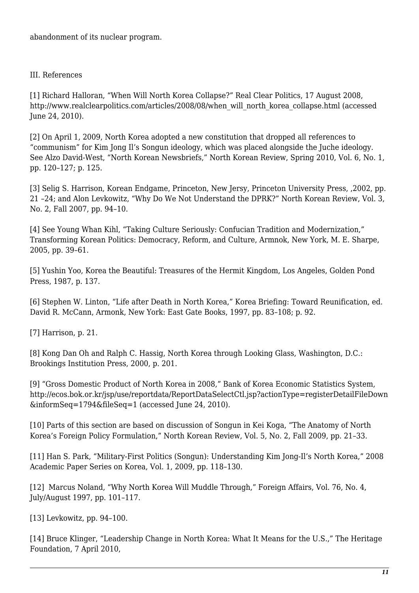abandonment of its nuclear program.

### <span id="page-10-0"></span>III. References

<span id="page-10-1"></span>[1] Richard Halloran, "When Will North Korea Collapse?" Real Clear Politics, 17 August 2008, http://www.realclearpolitics.com/articles/2008/08/when\_will\_north\_korea\_collapse.html (accessed June 24, 2010).

<span id="page-10-2"></span>[2] On April 1, 2009, North Korea adopted a new constitution that dropped all references to "communism" for Kim Jong Il's Songun ideology, which was placed alongside the Juche ideology. See Alzo David-West, "North Korean Newsbriefs," North Korean Review, Spring 2010, Vol. 6, No. 1, pp. 120–127; p. 125.

<span id="page-10-3"></span>[3] Selig S. Harrison, Korean Endgame, Princeton, New Jersy, Princeton University Press, ,2002, pp. 21 –24; and Alon Levkowitz, "Why Do We Not Understand the DPRK?" North Korean Review, Vol. 3, No. 2, Fall 2007, pp. 94–10.

<span id="page-10-4"></span>[4] See Young Whan Kihl, "Taking Culture Seriously: Confucian Tradition and Modernization," Transforming Korean Politics: Democracy, Reform, and Culture, Armnok, New York, M. E. Sharpe, 2005, pp. 39–61.

<span id="page-10-5"></span>[5] Yushin Yoo, Korea the Beautiful: Treasures of the Hermit Kingdom, Los Angeles, Golden Pond Press, 1987, p. 137.

<span id="page-10-6"></span>[6] Stephen W. Linton, "Life after Death in North Korea," Korea Briefing: Toward Reunification, ed. David R. McCann, Armonk, New York: East Gate Books, 1997, pp. 83–108; p. 92.

<span id="page-10-8"></span><span id="page-10-7"></span>[7] Harrison, p. 21.

[8] Kong Dan Oh and Ralph C. Hassig, North Korea through Looking Glass, Washington, D.C.: Brookings Institution Press, 2000, p. 201.

<span id="page-10-9"></span>[9] "Gross Domestic Product of North Korea in 2008," Bank of Korea Economic Statistics System, http://ecos.bok.or.kr/jsp/use/reportdata/ReportDataSelectCtl.jsp?actionType=registerDetailFileDown &informSeq=1794&fileSeq=1 (accessed June 24, 2010).

<span id="page-10-10"></span>[10] Parts of this section are based on discussion of Songun in Kei Koga, "The Anatomy of North Korea's Foreign Policy Formulation," North Korean Review, Vol. 5, No. 2, Fall 2009, pp. 21–33.

<span id="page-10-11"></span>[11] Han S. Park, "Military-First Politics (Songun): Understanding Kim Jong-Il's North Korea," 2008 Academic Paper Series on Korea, Vol. 1, 2009, pp. 118–130.

<span id="page-10-12"></span>[12] Marcus Noland, "Why North Korea Will Muddle Through," Foreign Affairs, Vol. 76, No. 4, July/August 1997, pp. 101–117.

<span id="page-10-13"></span>[13] Levkowitz, pp. 94-100.

<span id="page-10-14"></span>[14] Bruce Klinger, "Leadership Change in North Korea: What It Means for the U.S.," The Heritage Foundation, 7 April 2010,